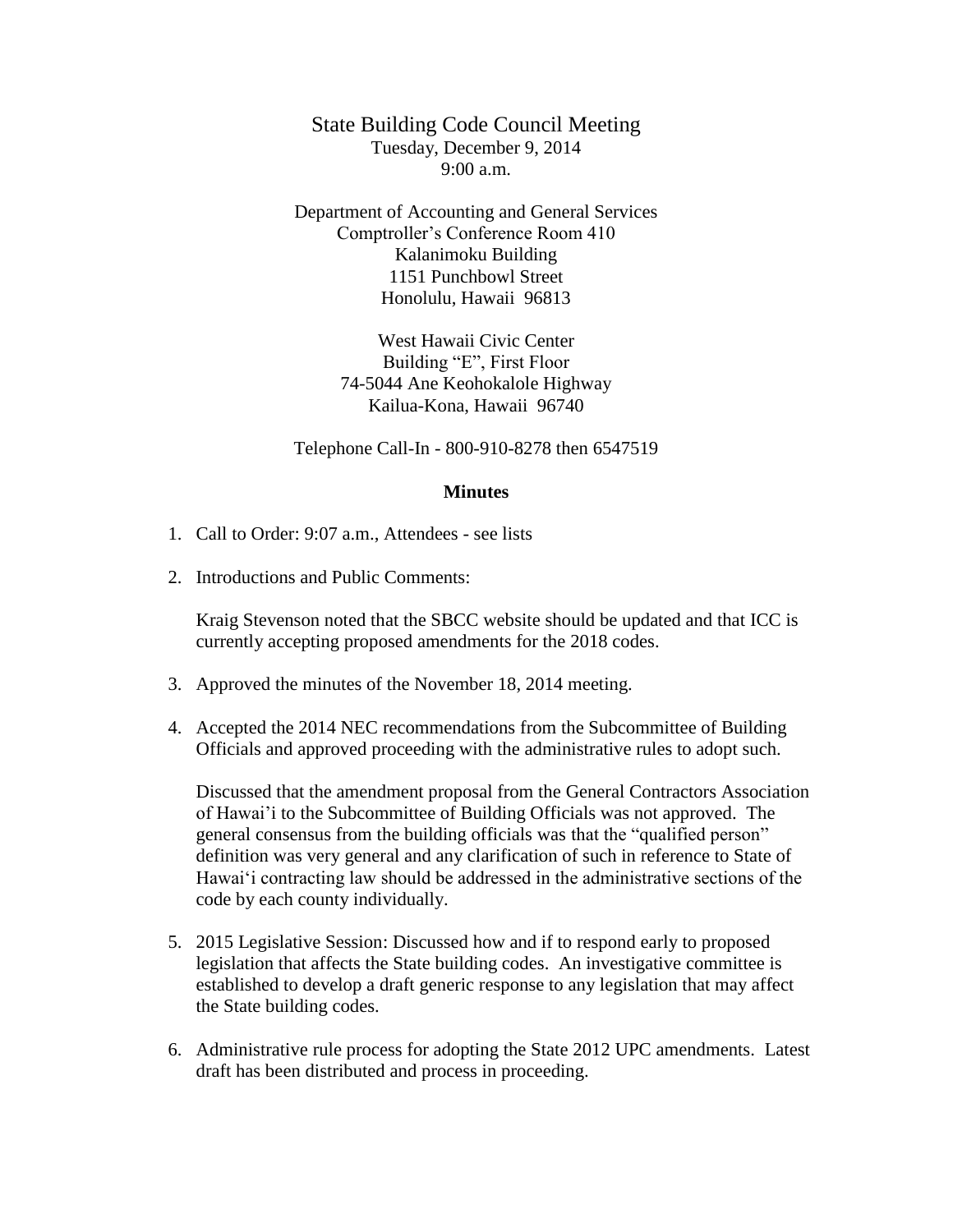State Building Code Council Meeting Tuesday, December 9, 2014 9:00 a.m.

Department of Accounting and General Services Comptroller's Conference Room 410 Kalanimoku Building 1151 Punchbowl Street Honolulu, Hawaii 96813

> West Hawaii Civic Center Building "E", First Floor 74-5044 Ane Keohokalole Highway Kailua-Kona, Hawaii 96740

Telephone Call-In - 800-910-8278 then 6547519

## **Minutes**

- 1. Call to Order: 9:07 a.m., Attendees see lists
- 2. Introductions and Public Comments:

Kraig Stevenson noted that the SBCC website should be updated and that ICC is currently accepting proposed amendments for the 2018 codes.

- 3. Approved the minutes of the November 18, 2014 meeting.
- 4. Accepted the 2014 NEC recommendations from the Subcommittee of Building Officials and approved proceeding with the administrative rules to adopt such.

Discussed that the amendment proposal from the General Contractors Association of Hawai'i to the Subcommittee of Building Officials was not approved. The general consensus from the building officials was that the "qualified person" definition was very general and any clarification of such in reference to State of Hawai'i contracting law should be addressed in the administrative sections of the code by each county individually.

- 5. 2015 Legislative Session: Discussed how and if to respond early to proposed legislation that affects the State building codes. An investigative committee is established to develop a draft generic response to any legislation that may affect the State building codes.
- 6. Administrative rule process for adopting the State 2012 UPC amendments. Latest draft has been distributed and process in proceeding.